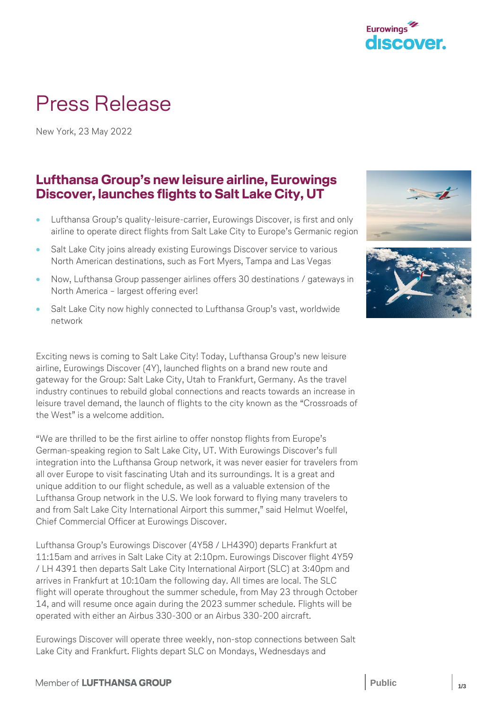

# Press Release

New York, 23 May 2022

## **Lufthansa Group's new leisure airline, Eurowings Discover, launches flights to Salt Lake City, UT**

- Lufthansa Group's quality-leisure-carrier, Eurowings Discover, is first and only airline to operate direct flights from Salt Lake City to Europe's Germanic region
- Salt Lake City joins already existing Eurowings Discover service to various North American destinations, such as Fort Myers, Tampa and Las Vegas
- Now, Lufthansa Group passenger airlines offers 30 destinations / gateways in North America – largest offering ever!
- Salt Lake City now highly connected to Lufthansa Group's vast, worldwide network

Exciting news is coming to Salt Lake City! Today, Lufthansa Group's new leisure airline, Eurowings Discover (4Y), launched flights on a brand new route and gateway for the Group: Salt Lake City, Utah to Frankfurt, Germany. As the travel industry continues to rebuild global connections and reacts towards an increase in leisure travel demand, the launch of flights to the city known as the "Crossroads of the West" is a welcome addition.

"We are thrilled to be the first airline to offer nonstop flights from Europe's German-speaking region to Salt Lake City, UT. With Eurowings Discover's full integration into the Lufthansa Group network, it was never easier for travelers from all over Europe to visit fascinating Utah and its surroundings. It is a great and unique addition to our flight schedule, as well as a valuable extension of the Lufthansa Group network in the U.S. We look forward to flying many travelers to and from Salt Lake City International Airport this summer," said Helmut Woelfel, Chief Commercial Officer at Eurowings Discover.

Lufthansa Group's Eurowings Discover (4Y58 / LH4390) departs Frankfurt at 11:15am and arrives in Salt Lake City at 2:10pm. Eurowings Discover flight 4Y59 / LH 4391 then departs Salt Lake City International Airport (SLC) at 3:40pm and arrives in Frankfurt at 10:10am the following day. All times are local. The SLC flight will operate throughout the summer schedule, from May 23 through October 14, and will resume once again during the 2023 summer schedule. Flights will be operated with either an Airbus 330-300 or an Airbus 330-200 aircraft.

Eurowings Discover will operate three weekly, non-stop connections between Salt Lake City and Frankfurt. Flights depart SLC on Mondays, Wednesdays and



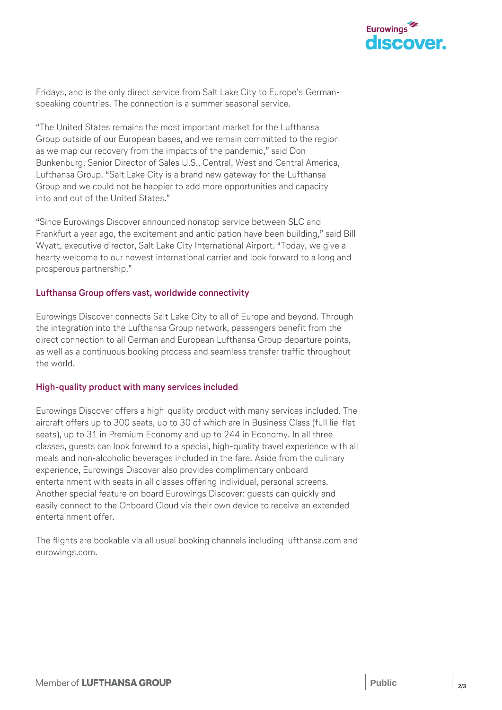

Fridays, and is the only direct service from Salt Lake City to Europe's Germanspeaking countries. The connection is a summer seasonal service.

"The United States remains the most important market for the Lufthansa Group outside of our European bases, and we remain committed to the region as we map our recovery from the impacts of the pandemic," said Don Bunkenburg, Senior Director of Sales U.S., Central, West and Central America, Lufthansa Group. "Salt Lake City is a brand new gateway for the Lufthansa Group and we could not be happier to add more opportunities and capacity into and out of the United States."

"Since Eurowings Discover announced nonstop service between SLC and Frankfurt a year ago, the excitement and anticipation have been building," said Bill Wyatt, executive director, Salt Lake City International Airport. "Today, we give a hearty welcome to our newest international carrier and look forward to a long and prosperous partnership."

### **Lufthansa Group offers vast, worldwide connectivity**

Eurowings Discover connects Salt Lake City to all of Europe and beyond. Through the integration into the Lufthansa Group network, passengers benefit from the direct connection to all German and European Lufthansa Group departure points, as well as a continuous booking process and seamless transfer traffic throughout the world.

#### **High-quality product with many services included**

Eurowings Discover offers a high-quality product with many services included. The aircraft offers up to 300 seats, up to 30 of which are in Business Class (full lie-flat seats), up to 31 in Premium Economy and up to 244 in Economy. In all three classes, guests can look forward to a special, high-quality travel experience with all meals and non-alcoholic beverages included in the fare. Aside from the culinary experience, Eurowings Discover also provides complimentary onboard entertainment with seats in all classes offering individual, personal screens. Another special feature on board Eurowings Discover: guests can quickly and easily connect to the Onboard Cloud via their own device to receive an extended entertainment offer.

The flights are bookable via all usual booking channels including lufthansa.com and eurowings.com.